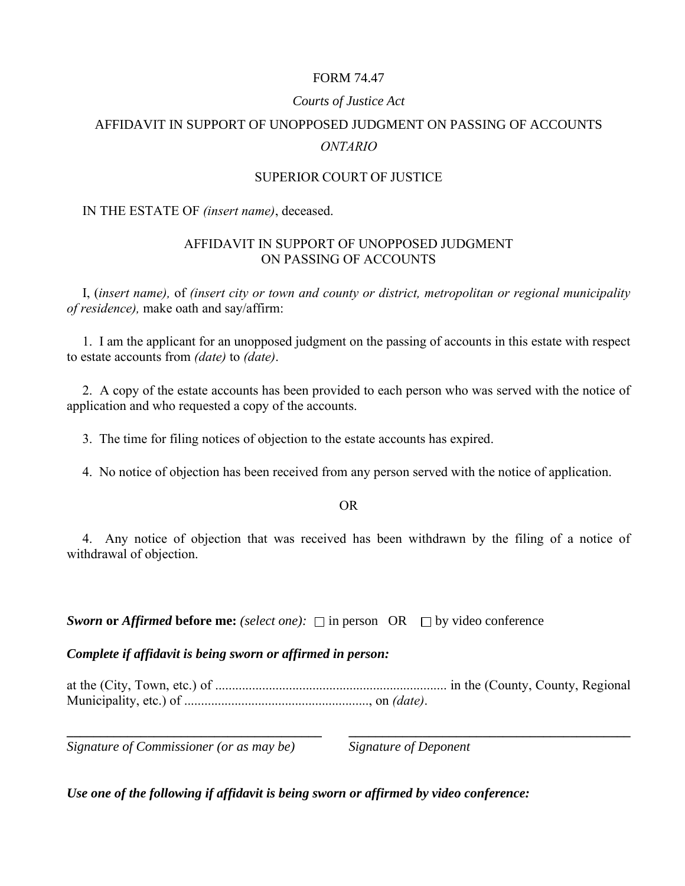# FORM 74.47

# *Courts of Justice Act*

# AFFIDAVIT IN SUPPORT OF UNOPPOSED JUDGMENT ON PASSING OF ACCOUNTS *ONTARIO*

## SUPERIOR COURT OF JUSTICE

#### IN THE ESTATE OF *(insert name)*, deceased.

## AFFIDAVIT IN SUPPORT OF UNOPPOSED JUDGMENT ON PASSING OF ACCOUNTS

I, (*insert name),* of *(insert city or town and county or district, metropolitan or regional municipality of residence),* make oath and say/affirm:

1. I am the applicant for an unopposed judgment on the passing of accounts in this estate with respect to estate accounts from *(date)* to *(date)*.

2. A copy of the estate accounts has been provided to each person who was served with the notice of application and who requested a copy of the accounts.

3. The time for filing notices of objection to the estate accounts has expired.

4. No notice of objection has been received from any person served with the notice of application.

OR

4. Any notice of objection that was received has been withdrawn by the filing of a notice of withdrawal of objection.

*Sworn* or *Affirmed* before me: (select one):  $\Box$  in person OR  $\Box$  by video conference

*Complete if affidavit is being sworn or affirmed in person:*

at the (City, Town, etc.) of ..................................................................... in the (County, County, Regional Municipality, etc.) of ......................................................., on *(date)*.

*Signature of Commissioner (or as may be) Signature of Deponent* 

**\_\_\_\_\_\_\_\_\_\_\_\_\_\_\_\_\_\_\_\_\_\_\_\_\_\_\_\_\_\_\_\_\_\_\_\_\_\_ \_\_\_\_\_\_\_\_\_\_\_\_\_\_\_\_\_\_\_\_\_\_\_\_\_\_\_\_\_\_\_\_\_\_\_\_\_\_\_\_\_\_** 

*Use one of the following if affidavit is being sworn or affirmed by video conference:*